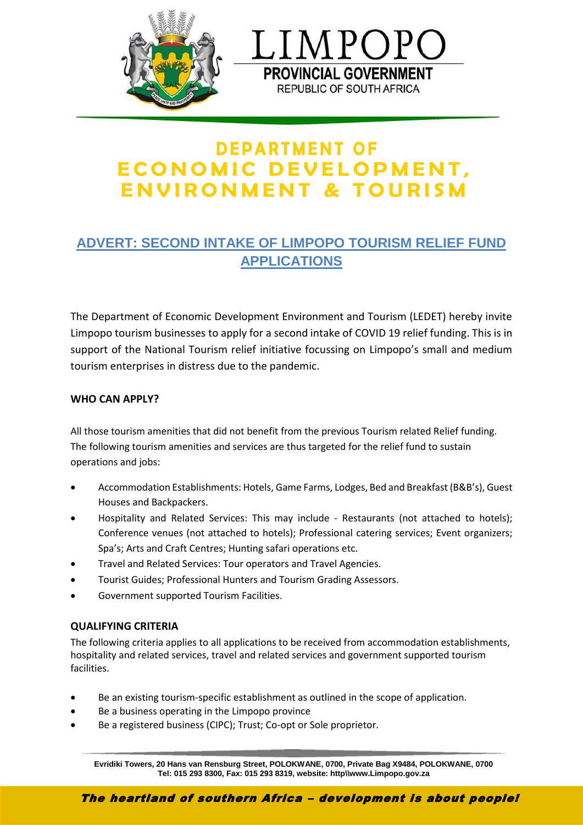



# **DEPARTMENT OF** ECONOMIC DEVELOPMENT, **ENVIRONMENT & TOURISM**

## **ADVERT: SECOND INTAKE OF LIMPOPO TOURISM RELIEF FUND APPLICATIONS**

The Department of Economic Development Environment and Tourism (LEDET) hereby invite Limpopo tourism businesses to apply for a second intake of COVID 19 relief funding. This is in support of the National Tourism relief initiative focussing on Limpopo's small and medium tourism enterprises in distress due to the pandemic.

#### **WHO CAN APPLY?**

All those tourism amenities that did not benefit from the previous Tourism related Relief funding. The following tourism amenities and services are thus targeted for the relief fund to sustain operations and jobs:

- Accommodation Establishments: Hotels, Game Farms, Lodges, Bed and Breakfast (B&B's), Guest Houses and Backpackers.
- Hospitality and Related Services: This may include Restaurants (not attached to hotels); Conference venues (not attached to hotels); Professional catering services; Event organizers; Spa's; Arts and Craft Centres; Hunting safari operations etc.
- Travel and Related Services: Tour operators and Travel Agencies.
- Tourist Guides; Professional Hunters and Tourism Grading Assessors.
- Government supported Tourism Facilities.

### **QUALIFYING CRITERIA**

The following criteria applies to all applications to be received from accommodation establishments, hospitality and related services, travel and related services and government supported tourism facilities.

- Be an existing tourism-specific establishment as outlined in the scope of application.
- Be a business operating in the Limpopo province
- Be a registered business (CIPC); Trust; Co-opt or Sole proprietor.

**Evridiki Towers, 20 Hans van Rensburg Street, POLOKWANE, 0700, Private Bag X9484, POLOKWANE, 0700 Tel: 015 293 8300, Fax: 015 293 8319, website: http\\www.Limpopo.gov.za**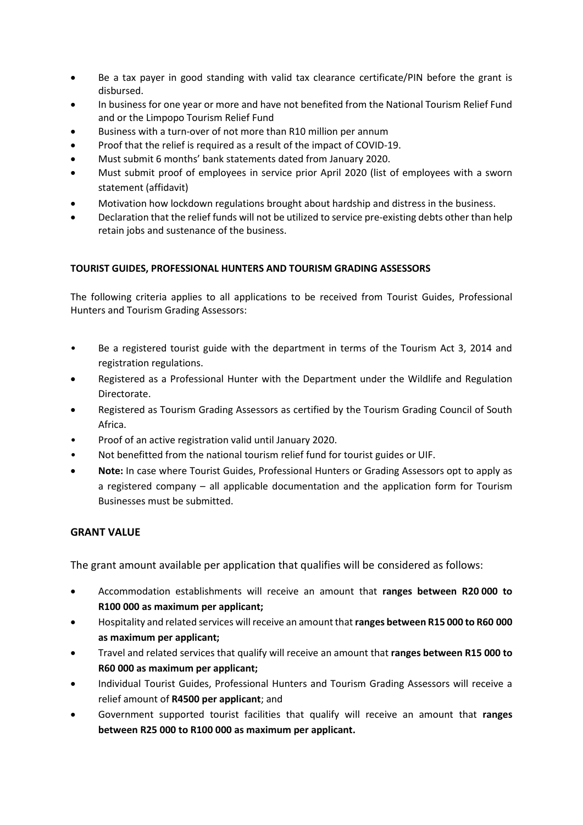- Be a tax payer in good standing with valid tax clearance certificate/PIN before the grant is disbursed.
- In business for one year or more and have not benefited from the National Tourism Relief Fund and or the Limpopo Tourism Relief Fund
- Business with a turn-over of not more than R10 million per annum
- Proof that the relief is required as a result of the impact of COVID-19.
- Must submit 6 months' bank statements dated from January 2020.
- Must submit proof of employees in service prior April 2020 (list of employees with a sworn statement (affidavit)
- Motivation how lockdown regulations brought about hardship and distress in the business.
- Declaration that the relief funds will not be utilized to service pre-existing debts other than help retain jobs and sustenance of the business.

#### **TOURIST GUIDES, PROFESSIONAL HUNTERS AND TOURISM GRADING ASSESSORS**

The following criteria applies to all applications to be received from Tourist Guides, Professional Hunters and Tourism Grading Assessors:

- Be a registered tourist guide with the department in terms of the Tourism Act 3, 2014 and registration regulations.
- Registered as a Professional Hunter with the Department under the Wildlife and Regulation Directorate.
- Registered as Tourism Grading Assessors as certified by the Tourism Grading Council of South Africa.
- Proof of an active registration valid until January 2020.
- Not benefitted from the national tourism relief fund for tourist guides or UIF.
- **Note:** In case where Tourist Guides, Professional Hunters or Grading Assessors opt to apply as a registered company – all applicable documentation and the application form for Tourism Businesses must be submitted.

#### **GRANT VALUE**

The grant amount available per application that qualifies will be considered as follows:

- Accommodation establishments will receive an amount that **ranges between R20 000 to R100 000 as maximum per applicant;**
- Hospitality and related services will receive an amount that **ranges between R15 000 to R60 000 as maximum per applicant;**
- Travel and related services that qualify will receive an amount that **ranges between R15 000 to R60 000 as maximum per applicant;**
- Individual Tourist Guides, Professional Hunters and Tourism Grading Assessors will receive a relief amount of **R4500 per applicant**; and
- Government supported tourist facilities that qualify will receive an amount that **ranges between R25 000 to R100 000 as maximum per applicant.**